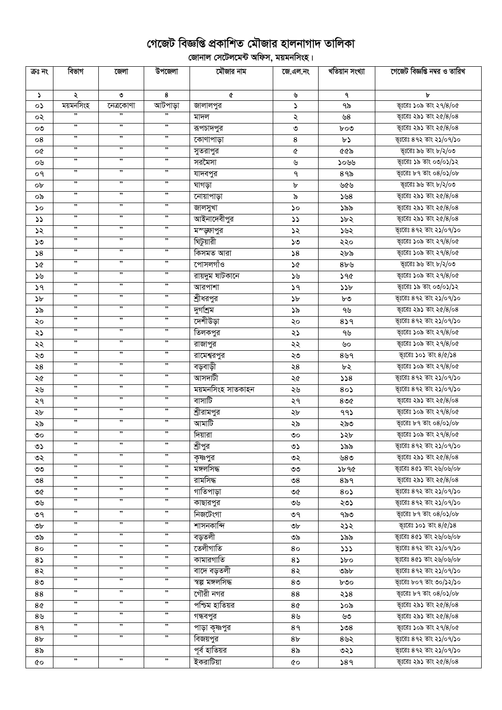## গেজেট বিজ্ঞপ্তি প্রকাশিত মৌজার হালনাগাদ তালিকা

ূলিকা<br>বিদ্যালয় সেটেলমেন্ট অফিস, ময়মনসিংহ।

| ক্ৰঃ নং               | বিভাগ                | জেলা      | উপজেলা               | মৌজার নাম         | জে.এল.নং              | খতিয়ান সংখ্যা | গেজেট বিজ্ঞপ্তি নম্বর ও তারিখ |
|-----------------------|----------------------|-----------|----------------------|-------------------|-----------------------|----------------|-------------------------------|
|                       |                      |           |                      |                   |                       |                |                               |
| $\blacktriangleright$ | ২                    | ৩         | 8                    | ¢                 | ৬                     | ٩              | ৮                             |
| ०১                    | ময়মনসিংহ            | নেত্ৰকোণা | আটপাড়া              | জালালপুর          | $\blacktriangleright$ | ৭৯             | ভূঃরেঃ ১০৯ তাং ২৭/৪/০৫        |
| ০২                    | ,,                   | ,,        | ,,                   | মাদল              | ২                     | ৬8             | ভূঃরেঃ ২৯১ তাং ২৫/8/০৪        |
| ೲ                     | ,,                   | ,,        | ,,                   | রূপচাদপুর         | ৩                     | ৮০৩            | ভূঃরেঃ ২৯১ তাং ২৫/8/০৪        |
| 08                    | $\pmb{\mathfrak{H}}$ | ,,        | $, \,$               | কোণাপাড়া         | $\bf 8$               | ৮১             | ভূঃরেঃ ৪৭২ তাং ২১/০৭/১০       |
| o¢                    | ,                    | ,,        | ,,                   | সুতরাপুর          | Q                     | ৫৫৯            | ভূঃরেঃ ৯৬ তাং ৮/২/০৩          |
| ০৬                    | $\pmb{\mathfrak{H}}$ | ,,        | $\pmb{\mathfrak{y}}$ | সরমৈসা            | ৬                     | ১০৬৬           | ভূঃরেঃ ১৯ তাং ০৩/০১/১২        |
| ०१                    | $, \,$               | "         | $\pmb{\mathfrak{y}}$ | যাদবপুর           | ٩                     | ৪৭৯            | ভূঃরেঃ ৮৭ তাং ০৪/০১/০৮        |
| ob                    | $, \,$               | ,,        | $, \,$               | ঘাগড়া            | r                     | ৬৫৬            | ভূঃরেঃ ৯৬ তাং ৮/২/০৩          |
| ০৯                    | $\pmb{\mathfrak{H}}$ | ,,        | ,,                   | নোয়াপাড়া        | ৯                     | 558            | ভূঃরেঃ ২৯১ তাং ২৫/8/০৪        |
| ১০                    | $\pmb{\mathfrak y}$  | ,,        | $, \,$               | জালসুখা           | ১০                    | ১৯৯            | ভূঃরেঃ ২৯১ তাং ২৫/8/০৪        |
| ১১                    | $\pmb{\mathfrak{y}}$ | ,,        | $\pmb{\mathfrak{y}}$ | আইনাদেবীপুর       | $\mathcal{L}$         | ১৮২            | ভূঃরেঃ ২৯১ তাং ২৫/৪/০৪        |
| ১২                    | ,,                   | ,,        | ,,                   | মস্ত্মগপুর        | ১২                    | ১৬২            | ভূঃরেঃ ৪৭২ তাং ২১/০৭/১০       |
| ১৩                    | ,,                   | ,,        | ,,                   | ঘিটুয়ারী         | ১৩                    | ২২০            | ভূঃরেঃ ১০৯ তাং ২৭/৪/০৫        |
| 58                    | ,,                   | ,,        | ,,                   | কিসমত আরা         | 58                    | ২৮৯            | ভূঃরেঃ ১০৯ তাং ২৭/৪/০৫        |
| ১৫                    | $\pmb{\mathfrak{H}}$ | ,,        | ,,                   | পোসলগাঁও          | ১৫                    | ৪৮৬            | ভূঃরেঃ ৯৬ তাং ৮/২/০৩          |
| ১৬                    | ,,                   | ,,        | ,,                   | রায়দুম ষাটকানে   | ১৬                    | ১৭৫            | ভূঃরেঃ ১০৯ তাং ২৭/৪/০৫        |
| ১৭                    | $\pmb{\mathfrak{H}}$ | ,,        | ,,                   | আরপাশা            | 39                    | ১১৮            | ভূঃরেঃ ১৯ তাং ০৩/০১/১২        |
| ১৮                    | ,,                   | ,,        | ,,                   | শ্রীধরপুর         | $\mathcal{P}$         | ৮৩             | ভূঃরেঃ ৪৭২ তাং ২১/০৭/১০       |
| ১৯                    | $\pmb{\mathfrak{H}}$ | ,,        | ,,                   | দুর্গাশ্রম        | ১৯                    | ৭৬             | ভূঃরেঃ ২৯১ তাং ২৫/8/০৪        |
| ২০                    | ,,                   | ,,        | ,,                   | দেশীউড়া          | ২০                    | 859            | ভূঃরেঃ ৪৭২ তাং ২১/০৭/১০       |
| ২১                    | $\pmb{\mathfrak y}$  | ,,        | ,,                   | তিলকপুর           | ২১                    | ৭৬             | ভূঃরেঃ ১০৯ তাং ২৭/৪/০৫        |
| ২২                    | $\pmb{\mathfrak{y}}$ | ,,        | ,,                   | রাজাপুর           | ২২                    | ৬০             | ভূঃরেঃ ১০৯ তাং ২৭/৪/০৫        |
| ২৩                    | $\pmb{\mathfrak{y}}$ | ,,        | ,,                   | রামেশ্বরপুর       | ২৩                    | 899            | ভূঃরেঃ ১০১ তাং ৪/৫/১৪         |
| ২৪                    | $\pmb{\mathfrak{y}}$ | ,         | $, \,$               | বড়বাড়ী          | ২৪                    | ৮২             | ভূঃরেঃ ১০৯ তাং ২৭/৪/০৫        |
| ২৫                    | ,,                   | ,         | ,,                   | আসদাটী            | ২৫                    | 558            | ভূঃরেঃ ৪৭২ তাং ২১/০৭/১০       |
| ২৬                    | $\pmb{\mathfrak y}$  | ,,        | $, \,$               | ময়মনসিংহ সাতকাহন | ২৬                    | 80             | ভূঃরেঃ ৪৭২ তাং ২১/০৭/১০       |
| ২৭                    | $\pmb{\mathfrak y}$  | ,,        | ,                    | বাসাটি            | ২৭                    | $8$ ৩৫         | ভূঃরেঃ ২৯১ তাং ২৫/8/০৪        |
| ২৮                    | $\pmb{\mathfrak{y}}$ | ,         | $, \,$               | শ্রীরামপুর        | ২৮                    | 995            | ভূঃরেঃ ১০৯ তাং ২৭/৪/০৫        |
| ২৯                    | $\pmb{\mathfrak y}$  | ,,        | ,                    | আমাটি             | ২৯                    | ২৯৩            | ভূঃরেঃ ৮৭ তাং ০৪/০১/০৮        |
| ৩০                    | $\pmb{\mathfrak{H}}$ | "         | ,,                   | দিয়ারা           | ಄                     | ১২৮            | ভূঃরেঃ ১০৯ তাং ২৭/৪/০৫        |
| ৩১                    | ,,                   | ,,        | ,,                   | শ্রীপুর           | ৩১                    | ১৯৯            | ভূঃরেঃ ৪৭২ তাং ২১/০৭/১০       |
| ৩২                    | ,                    | ,,        | ,,                   | কৃষ্ণপুর          | ৩২                    | ৬৪৩            | ভূঃরেঃ ২৯১ তাং ২৫/8/০৪        |
| ৩৩                    | ,,                   | "         | ,,                   | মঙ্গলসিদ্ধ        | ৩৩                    | ১৮৭৫           | ভূঃরেঃ ৪৫১ তাং ২৬/০৬/০৮       |
| ৩৪                    | ,,                   | "         | ,,                   | রামসিদ্ধ          | $\mathcal{S}^{\circ}$ | $8\delta$ ৭    | ভূঃরেঃ ২৯১ তাং ২৫/৪/০৪        |
| ৩৫                    | $, \,$               | ,,        | ,                    | গাতিপাড়া         | ৩৫                    | $80\lambda$    | ভূঃরেঃ ৪৭২ তাং ২১/০৭/১০       |
| ৩৬                    | $, \,$               | ,         | $, \,$               | কাছারপুর          | ৩৬                    | ২৩১            | ভূঃরেঃ ৪৭২ তাং ২১/০৭/১০       |
| ৩৭                    | ,                    | ,,        | $, \,$               | নিজটেংগা          | ৩৭                    | ৭৯৩            | ভূঃরেঃ ৮৭ তাং ০৪/০১/০৮        |
| ৩৮                    | ,,                   | "         | ,                    | শাসনকান্দি        | ৩৮                    | ২১২            | ভূঃরেঃ ১০১ তাং $8/\alpha/38$  |
| ৩৯                    | ,                    | ,,        | ,                    | বড়তলী            | ৩৯                    | ১৯৯            | ভূঃরেঃ ৪৫১ তাং ২৬/০৬/০৮       |
| 80                    | ,                    | ,,        | ,                    | তেলীগাতি          | 80                    | 333            | ভূঃরেঃ ৪৭২ তাং ২১/০৭/১০       |
| $8\sqrt{ }$           | $, \,$               | ,,        | ,                    | কামারগাতি         | $8\sqrt{ }$           | ১৮০            | ভূঃরেঃ ৪৫১ তাং ২৬/০৬/০৮       |
| 8२                    | ,,                   | "         | ,,                   | বাদে বড়তলী       | $8\lambda$            | ৩৯৮            | ভূঃরেঃ ৪৭২ তাং ২১/০৭/১০       |
| 8 <sub>0</sub>        | ,,                   | "         | ,                    | স্বল্প মঙ্গলসিদ্ধ | 8 <sub>0</sub>        | ৮৩০            | ভূঃরেঃ ৮০৭ তাং ৩০/১২/১০       |
| 88                    | ,                    | ,,        | ,                    | গৌরী নগর          | 88                    | ২১৪            | ভূঃরেঃ ৮৭ তাং ০৪/০১/০৮        |
| 8¢                    | ,,                   | ,,        | ,,                   | পশ্চিম হাতিয়র    | 8¢                    | ১০৯            | ভূঃরেঃ ২৯১ তাং ২৫/8/০৪        |
| ৪৬                    | ,,                   | "         | ,,                   | গন্ধবপুর          | 8 <sub>9</sub>        | ৬৩             | ভূঃরেঃ ২৯১ তাং ২৫/৪/০৪        |
| 8१                    | ,                    | $, -$     | ,                    | পাড়া কৃষ্ণপুর    | 89                    | ১৩৪            | ভূঃরেঃ ১০৯ তাং ২৭/৪/০৫        |
| 8 <sub>b</sub>        | $, \,$               | ,         | ,                    | বিজয়পুর          | 8 <sub>b</sub>        | $8$ ৬২         | ভূঃরেঃ ৪৭২ তাং ২১/০৭/১০       |
| ৪৯                    |                      |           |                      | পূর্ব হাতিয়র     | 8 <sub>o</sub>        | ৩২১            | ভূঃরেঃ ৪৭২ তাং ২১/০৭/১০       |
| ৫০                    | $, \,$               | ,,        | $, \,$               | ইকরাটিয়া         | 6Q                    | ১৪৭            | ভূঃরেঃ ২৯১ তাং ২৫/৪/০৪        |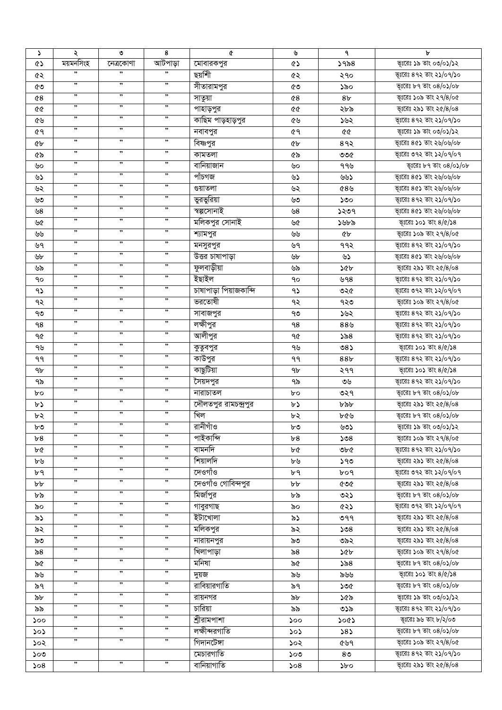| $\mathcal{L}$  | ২                    | ৩                   | 8       | ¢                      | ৬              | ٩              | b                            |
|----------------|----------------------|---------------------|---------|------------------------|----------------|----------------|------------------------------|
| ৫১             | ময়মনসিংহ            | নেত্ৰকোণা           | আটপাড়া | মোবারকপুর              | ৫১             | ১৭৯৪           | ভূঃরেঃ ১৯ তাং ০৩/০১/১২       |
| ৫২             | ,,                   | ,,                  | 99      | ছয়শী                  | ৫২             | २१०            | ভূঃরেঃ ৪৭২ তাং ২১/০৭/১০      |
| ৫৩             | ,,                   | ,,                  | ,,      | সীতারামপুর             | ৫৩             | ১৯০            | ভূঃরেঃ ৮৭ তাং ০৪/০১/০৮       |
| ৫8             | ,,                   | ,,                  | ,,      | সাতুয়া                | $^{\circ}$     | 8 <sub>b</sub> | ভূঃরেঃ ১০৯ তাং ২৭/৪/০৫       |
| 66             | ,,                   | ,,                  | ,,      | পাহাড়পুর              | ୯୯             | ২৮৯            | ভূঃরেঃ ২৯১ তাং ২৫/৪/০৪       |
| ৫৬             | ,,                   | , ,                 | ,,      | কাছিম পাড়হাড়পুর      | ৫৬             | ১৬২            | ভূঃরেঃ ৪৭২ তাং ২১/০৭/১০      |
| ৫৭             | $\pmb{\mathfrak{y}}$ | ,                   | ,,      | নবাবপুর                | ৫৭             |                | ভূঃরেঃ ১৯ তাং ০৩/০১/১২       |
|                | ,,                   | ,,                  | ,,      | বিষ্ণপুর               |                | 892            | ভূঃরেঃ ৪৫১ তাং ২৬/০৬/০৮      |
| ৫৮             | ,,                   | , ,                 | ,,      |                        | <b>«P</b>      |                | ভূঃরেঃ ৩৭২ তাং ১২/০৭/০৭      |
| ৫৯             | ,,                   | ,                   | ,,      | কামতলা                 | ৫৯             | ৩৩৫            |                              |
| ৬০             | $\pmb{\mathfrak{y}}$ | , ,                 | ,,      | বানিয়াজান             | ৬০             | ঀঀ৬            | ভূঃরেঃ ৮৭ তাং ০৪/০১/০৮       |
| ৬১             | $\pmb{\mathfrak{H}}$ | $, \,$              | ,,      | পাঁচগজ                 | ৬১             | ৬৬১            | ভূঃরেঃ ৪৫১ তাং ২৬/০৬/০৮      |
| ৬২             | $\pmb{\mathfrak{H}}$ | , ,                 |         | গুয়াতলা               | ৬২             | ৫৪৬            | ভূঃরেঃ ৪৫১ তাং ২৬/০৬/০৮      |
| ৬৩             |                      |                     | ,,      | ভুরভূরিয়া             | ৬৩             | ১৩০            | ভূঃরেঃ ৪৭২ তাং ২১/০৭/১০      |
| ৬8             | $\pmb{\mathfrak{y}}$ | , ,                 | ,,      | স্বল্পলোনাই            | ৬8             | ১২৩৭           | ভূঃরেঃ ৪৫১ তাং ২৬/০৬/০৮      |
| ৬৫             | $, \,$               | $\pmb{\mathfrak y}$ | $, \,$  | মলিকপুর সোনাই          | ৬৫             | ১৬৮৯           | ভূঃরেঃ ১০১ তাং ৪/৫/১৪        |
| ৬৬             | $, \,$               | , ,                 | ,,      | শ্যামপুর               | ৬৬             | ৫৮             | ভূঃরেঃ ১০৯ তাং ২৭/৪/০৫       |
| ৬৭             | $\pmb{\mathfrak{H}}$ | $\pmb{\mathfrak y}$ | ,,      | মনসুরপুর               | ৬৭             | ৭৭২            | ভূঃরেঃ ৪৭২ তাং ২১/০৭/১০      |
| ৬৮             | ,,                   | , ,                 | ,,      | উত্তর চাষাপাড়া        | ৬৮             | ৬১             | ভূঃরেঃ ৪৫১ তাং ২৬/০৬/০৮      |
| ৬৯             | ,,                   | , ,                 | ,,      | ফুলবাড়ীয়া            | ৬৯             | ১৫৮            | ভূঃরেঃ ২৯১ তাং ২৫/৪/০৪       |
| ٩o             | ,,                   | ,,                  | ,,      | ইছাইল                  | ٩o             | ৬৭৪            | ভূঃরেঃ ৪৭২ তাং ২১/০৭/১০      |
| ۹১             | ,,                   | ,,                  | ,,      | চাষাপাড়া পিয়াজকান্দি | ৭১             | ৩২৫            | ভূঃরেঃ ৩৭২ তাং ১২/০৭/০৭      |
| ৭২             | ,,                   | ,,                  | ,,      | ভরতোষী                 | ৭২             | ৭২৩            | ভূঃরেঃ ১০৯ তাং ২৭/৪/০৫       |
| ৭৩             | ,,                   | ,,                  | ,,      | সাবাজপুর               | ৭৩             | ১৬২            | ভূঃরেঃ ৪৭২ তাং ২১/০৭/১০      |
| ۹8             | ,,                   | ,,                  | ,,      | লক্ষীপুর               | ٩8             | 889            | ভূঃরেঃ ৪৭২ তাং ২১/০৭/১০      |
|                | ,,                   | ,,                  | ,,      | আলীপুর                 |                | ১৯৪            | ভূঃরেঃ ৪৭২ তাং ২১/০৭/১০      |
| ዓ৫             | ,,                   | ,,                  | ,,      |                        | ዓ৫             |                |                              |
| ৭৬             | $\pmb{\mathfrak{y}}$ | ,                   | ,,      | কুতুবপুর               | ৭৬             | $08\lambda$    | ভূঃরেঃ ১০১ তাং $8/6/38$      |
| ۹۹             | ,,                   | ,,                  | ,,      | কাউপুর                 | ۹۹             | 88b            | ভূঃরেঃ ৪৭২ তাং ২১/০৭/১০      |
| 9 <sub>b</sub> | ,,                   | ,,                  | ,,      | কাছুটিয়া              | 9 <sub>b</sub> | २११            | ভূঃরেঃ ১০১ তাং ৪/৫/১৪        |
| ৭৯             |                      |                     |         | সৈয়দপুর               | ৭৯             | ৩৬             | ভূঃরেঃ ৪৭২ তাং ২১/০৭/১০      |
| bο             | ,,                   | , ,                 | ,,      | নারাচাতল               | ৮০             | ৩২৭            | ভূঃরেঃ ৮৭ তাং ০৪/০১/০৮       |
| ৮১             | ,,                   | ,                   | ,,      | দৌলতপুর রামচন্দ্রপুর   | ৮১             | ৮৯৮            | ভূঃরেঃ ২৯১ তাং ২৫/৪/০৪       |
| ৮২             | $\pmb{\mathfrak{H}}$ | , ,                 | ,,      | খিল                    | ৮২             | ৮৫৬            | ভূঃরেঃ ৮৭ তাং ০৪/০১/০৮       |
| ৮৩             | $, \,$               | ,,                  | ,,      | রানীগাঁও               | ৮৩             | ৬৩১            | ভূঃরেঃ ১৯ তাং ০৩/০১/১২       |
| b8             | ,,                   | ,,                  | ,,      | পাইকান্দি              | b8             | ১৩৪            | ভূঃরেঃ ১০৯ তাং ২৭/৪/০৫       |
| ৮৫             | $, \,$               | , ,                 | ,,      | বামনদি                 | ৮৫             | ৩৮৫            | ভূঃরেঃ ৪৭২ তাং ২১/০৭/১০      |
| ৮৬             | $, \,$               | , ,                 | "       | শিয়ালদি               | ৮৬             | ১৭৩            | ভূঃরেঃ ২৯১ তাং ২৫/৪/০৪       |
| ৮৭             | $\pmb{\mathfrak y}$  | ,                   | ,,      | দেওগাঁও                | ৮৭             | <b>bo</b>      | ভূঃরেঃ ত৭২ তাং ১২/০৭/০৭      |
| ৮৮             | ,,                   | ,                   | ,,      | দেওগাঁও গোবিন্দপুর     | bþ             | ৫৩৫            | ভূঃরেঃ ২৯১ তাং ২৫/৪/০৪       |
| ৮৯             | ,,                   | ,                   | "       | মির্জাপুর              | ৮৯             | ৩২১            | ভূঃরেঃ ৮৭ তাং ০৪/০১/০৮       |
| ৯০             | ,,                   | ,,                  | "       | গাবুরগাছ               | ৯০             | ৫২১            | ভূঃরেঃ ৩৭২ তাং ১২/০৭/০৭      |
| ৯১             | ,,                   | , ,                 | ,,      | ইটাখোলা                | ৯১             | ৩৭৭            | ভূঃরেঃ ২৯১ তাং ২৫/৪/০৪       |
| ৯২             | ,,                   | , ,                 | ,,      | মলিকপুর                | ৯২             | 508            | ভূঃরেঃ ২৯১ তাং ২৫/৪/০৪       |
| ৯৩             | $, \,$               | , ,                 | ,,      | নারায়নপুর             | ৯৩             | ৩৯২            | ভূঃরেঃ ২৯১ তাং ২৫/৪/০৪       |
| ৯৪             | ,,                   | , ,                 | "       | খিলাপাড়া              | ৯৪             | ১৫৮            | ভূঃরেঃ ১০৯ তাং ২৭/৪/০৫       |
|                | ,,                   | , ,                 | ,,      | মনিষা                  |                |                | ভূঃরেঃ ৮৭ তাং ০৪/০১/০৮       |
| ৯৫             | ,,                   | , ,                 | ,,      |                        | ৯৫             | ১৯৪            |                              |
| ৯৬             | ,,                   | ,                   | ,,      | দুয়জ                  | ৯৬             | ৯৬৬            | ভূঃরেঃ ১০১ তাং $8/\alpha/38$ |
| ৯৭             | $, \,$               | , ,                 | "       | রাবিয়ারগাতি           | ৯৭             | ১৩৫            | ভূঃরেঃ ৮৭ তাং ০৪/০১/০৮       |
| ৯৮             |                      |                     |         | রায়নগর                | ৯৮             | ১৫৯            | ভূঃরেঃ ১৯ তাং ০৩/০১/১২       |
| ৯৯             | ,,                   | , ,                 | ,,      | চারিয়া                | ৯৯             | ৩১৯            | ভূঃরেঃ ৪৭২ তাং ২১/০৭/১০      |
| ১০০            | ,,                   | ,                   | ,,      | শ্ৰীরামপাশা            | ১০০            | ১০৫১           | ভূঃরেঃ ৯৬ তাং ৮/২/০৩         |
| ১০১            | ,,                   | ,                   | ,,      | লক্ষীন্দরগাতি          | ১০১            | 585            | ভূঃরেঃ ৮৭ তাং ০৪/০১/০৮       |
| ১০২            | $\pmb{\mathfrak{y}}$ | , ,                 | ,,      | গিদানটেঙ্গা            | ১০২            | ৫৬৭            | ভূঃরেঃ ১০৯ তাং ২৭/৪/০৫       |
| ১০৩            |                      |                     |         | মেচারগাতি              | ১০৩            | 8 <sub>0</sub> | ভূঃরেঃ ৪৭২ তাং ২১/০৭/১০      |
| 508            | ,,                   | ,,                  | ,,      | বানিয়াগাতি            | 508            | ১৮০            | ভূঃরেঃ ২৯১ তাং ২৫/৪/০৪       |